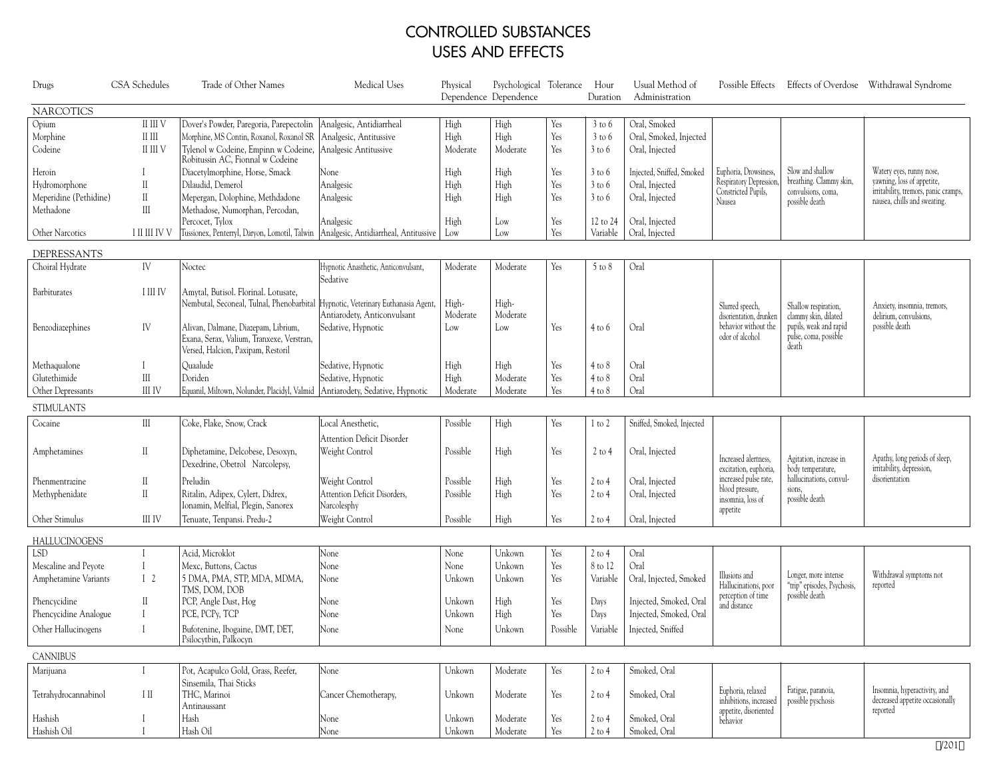## CONTROLLED SUBSTANCES USES AND EFFECTS

| Drugs                  | CSA Schedules                                          | Trade of Other Names                                                            | Medical Uses                           | Physical | Psychological Tolerance<br>Dependence Dependence |            | Hour<br>Duration  | Usual Method of<br>Administration |                                             |                                                                       | Possible Effects Effects of Overdose Withdrawal Syndrome             |
|------------------------|--------------------------------------------------------|---------------------------------------------------------------------------------|----------------------------------------|----------|--------------------------------------------------|------------|-------------------|-----------------------------------|---------------------------------------------|-----------------------------------------------------------------------|----------------------------------------------------------------------|
| <b>NARCOTICS</b>       |                                                        |                                                                                 |                                        |          |                                                  |            |                   |                                   |                                             |                                                                       |                                                                      |
| Opium                  | II III V                                               | Dover's Powder, Paregoria, Parepectolin   Analgesic, Antidiarrheal              |                                        | High     | High                                             | Yes        | $3$ to $6$        | Oral, Smoked                      |                                             |                                                                       |                                                                      |
| Morphine               | $\mathop{\rm II}\nolimits$ $\mathop{\rm III}\nolimits$ | Morphine, MS Contin, Roxanol, Roxanol SR                                        | Analgesic, Antitussive                 | High     | High                                             | Yes        | $3$ to $6$        | Oral, Smoked, Injected            |                                             |                                                                       |                                                                      |
| Codeine                | II III V                                               | Tylenol w Codeine, Empinn w Codeine,<br>Robitussin AC, Fionnal w Codeine        | Analgesic Antitussive                  | Moderate | Moderate                                         | Yes        | $3$ to $6$        | Oral, Injected                    |                                             |                                                                       |                                                                      |
| Heroin                 | $\mathbf{I}$                                           | Diacetylmorphine, Horse, Smack                                                  | None                                   | High     | High                                             | Yes        | $3$ to $6$        | Injected, Sniffed, Smoked         | Euphoria, Drowsiness,                       | Slow and shallow                                                      | Watery eyes, runny nose,                                             |
| Hydromorphone          | $\rm II$                                               | Dilaudid, Demerol                                                               | Analgesic                              | High     | High                                             | Yes        | $3$ to $6$        | Oral, Injected                    | Respiratory Depression                      | breathing. Clammy skin,                                               | yawning, loss of appetite,                                           |
| Meperidine (Pethidine) | $\mathbf{I}$                                           | Mepergan, Dolophine, Methdadone                                                 | Analgesic                              | High     | High                                             | Yes        | $3$ to 6          | Oral, Injected                    | Constricted Pupils,<br>Nausea               | convulsions, coma,<br>possible death                                  | irritability, tremors, panic cramps,<br>nausea, chills and sweating. |
| Methadone              | $\mathop{\rm III}$                                     | Methadose, Numorphan, Percodan,                                                 |                                        |          |                                                  |            |                   |                                   |                                             |                                                                       |                                                                      |
|                        |                                                        | Percocet, Tylox                                                                 | Analgesic                              | High     | Low                                              | Yes        | 12 to 24          | Oral, Injected                    |                                             |                                                                       |                                                                      |
| Other Narcotics        | I II III IV V                                          | Tussionex, Penterryl, Daryon, Lomotil, Talwin                                   | Analgesic, Antidiarrheal, Antitussive  | Low      | Low                                              | Yes        | Variable          | Oral, Injected                    |                                             |                                                                       |                                                                      |
| DEPRESSANTS            |                                                        |                                                                                 |                                        |          |                                                  |            |                   |                                   |                                             |                                                                       |                                                                      |
| Choiral Hydrate        | IV                                                     | Noctec                                                                          | Hypnotic Anasthetic, Anticonvulsant,   | Moderate | Moderate                                         | Yes        | $5$ to $8$        | Oral                              |                                             |                                                                       |                                                                      |
|                        |                                                        |                                                                                 | Sedative                               |          |                                                  |            |                   |                                   |                                             |                                                                       |                                                                      |
| Barbiturates           | I III IV                                               | Amytal, Butisol. Florinal. Lotusate,                                            |                                        |          |                                                  |            |                   |                                   |                                             |                                                                       |                                                                      |
|                        |                                                        | Nembutal, Seconeal, Tulnal, Phenobarbital                                       | Hypnotic, Veterinary Euthanasia Agent, | High-    | High-                                            |            |                   |                                   | Slurred speech,                             | Shallow respiration,                                                  | Anxiety, insomnia, tremors,                                          |
|                        |                                                        |                                                                                 | Antiarodety, Anticonvulsant            | Moderate | Moderate                                         |            |                   |                                   | disorientation, drunken                     | clammy skin, dilated                                                  | delirium, convulsions,                                               |
| Benzodiazephines       | IV                                                     | Alivan, Dalmane, Diazepam, Librium,                                             | Sedative, Hypnotic                     | Low      | Low                                              | Yes        | $4$ to $6$        | Oral                              | behavior without the<br>odor of alcohol     | pupils, weak and rapid                                                | possible death                                                       |
|                        |                                                        | Exana, Serax, Valium, Tranxexe, Verstran,<br>Versed, Halcion, Paxipam, Restoril |                                        |          |                                                  |            |                   |                                   |                                             | pulse, coma, possible<br>death                                        |                                                                      |
| Methaqualone           |                                                        | Quaalude                                                                        | Sedative, Hypnotic                     | High     | High                                             | Yes        | $4$ to $8$        | Oral                              |                                             |                                                                       |                                                                      |
| Glutethimide           | $\rm III$                                              | Doriden                                                                         | Sedative, Hypnotic                     | High     | Moderate                                         | Yes        | $4$ to $8$        | Oral                              |                                             |                                                                       |                                                                      |
| Other Depressants      | III IV                                                 | Equanil, Miltown, Nolunder, Placidyl, Valmid                                    | Antiarodety, Sedative, Hypnotic        | Moderate | Moderate                                         | Yes        | $4$ to $8$        | Oral                              |                                             |                                                                       |                                                                      |
| <b>STIMULANTS</b>      |                                                        |                                                                                 |                                        |          |                                                  |            |                   |                                   |                                             |                                                                       |                                                                      |
| Cocaine                | III                                                    | Coke, Flake, Snow, Crack                                                        | Local Anesthetic,                      | Possible | High                                             | Yes        |                   | Sniffed, Smoked, Injected         |                                             |                                                                       |                                                                      |
|                        |                                                        |                                                                                 |                                        |          |                                                  |            | $1$ to $2$        |                                   |                                             |                                                                       |                                                                      |
|                        |                                                        |                                                                                 | Attention Deficit Disorder             |          |                                                  |            |                   |                                   |                                             |                                                                       |                                                                      |
| Amphetamines           | $\mathbf{I}$                                           | Diphetamine, Delcobese, Desoxyn,                                                | Weight Control                         | Possible | High                                             | Yes        | $2$ to 4          | Oral, Injected                    | Increased alertness,                        | Agitation, increase in                                                | Apathy, long periods of sleep,                                       |
|                        |                                                        | Dexedrine, Obetrol Narcolepsy,                                                  |                                        |          |                                                  |            |                   |                                   | excitation, euphoria                        | body temperature,                                                     | irritability, depression,                                            |
| Phenmentrazine         | $\mathbb{I}$                                           | Preludin                                                                        | Weight Control                         | Possible | High                                             | Yes        | $2$ to 4          | Oral, Injected                    | increased pulse rate,<br>blood pressure,    | hallucinations, convul-<br>sions,                                     | disorientation                                                       |
| Methyphenidate         | $\mathbf{I}$                                           | Ritalin, Adipex, Cylert, Didrex,                                                | Attention Deficit Disorders,           | Possible | High                                             | Yes        | $2$ to 4          | Oral, Injected                    | insomnia, loss of                           | possible death                                                        |                                                                      |
|                        |                                                        | Ionamin, Melfial, Plegin, Sanorex                                               | Narcolesphy                            |          |                                                  |            |                   |                                   | appetite                                    |                                                                       |                                                                      |
| Other Stimulus         | III IV                                                 | Tenuate, Tenpansi. Predu-2                                                      | Weight Control                         | Possible | High                                             | Yes        | $2$ to 4          | Oral, Injected                    |                                             |                                                                       |                                                                      |
| <b>HALLUCINOGENS</b>   |                                                        |                                                                                 |                                        |          |                                                  |            |                   |                                   |                                             |                                                                       |                                                                      |
| LSD                    | $\mathbf{I}$                                           | Acid, Microklot                                                                 | None                                   | None     | Unkown                                           | Yes        | $2$ to $4$        | Oral                              |                                             |                                                                       |                                                                      |
| Mescaline and Peyote   | $\mathbf{I}$                                           | Mexc, Buttons, Cactus                                                           | None                                   | None     | Unkown                                           | Yes        | 8 to 12           | Oral                              |                                             |                                                                       |                                                                      |
| Amphetamine Variants   | 1 <sup>2</sup>                                         | 5 DMA, PMA, STP, MDA, MDMA,<br>TMS, DOM, DOB                                    | None                                   | Unkown   | Unkown                                           | Yes        | Variable          | Oral, Injected, Smoked            | Illusions and<br>Hallucinations, poor       | Longer, more intense<br>"trip" episodes, Psychosis,<br>possible death | Withdrawal symptoms not<br>reported                                  |
| Phencycidine           | $\mathbb{I}$                                           | PCP, Angle Dust, Hog                                                            | None                                   | Unkown   | High                                             | Yes        | Days              | Injected, Smoked, Oral            | perception of time<br>and distance          |                                                                       |                                                                      |
| Phencycidine Analogue  | $\mathbf{I}$                                           | PCE, PCPy, TCP                                                                  | None                                   | Unkown   | High                                             | Yes        | Days              | Injected, Smoked, Oral            |                                             |                                                                       |                                                                      |
| Other Hallucinogens    | $\mathbf{I}$                                           | Bufotenine, Ibogaine, DMT, DET,<br>Psilocytbin, Palkocyn                        | None                                   | None     | Unkown                                           | Possible   | Variable          | Injected, Sniffed                 |                                             |                                                                       |                                                                      |
| <b>CANNIBUS</b>        |                                                        |                                                                                 |                                        |          |                                                  |            |                   |                                   |                                             |                                                                       |                                                                      |
| Marijuana              |                                                        | Pot, Acapulco Gold, Grass, Reefer,                                              | None                                   | Unkown   | Moderate                                         | Yes        | $2$ to 4          | Smoked, Oral                      |                                             |                                                                       |                                                                      |
|                        |                                                        | Sinsemila, Thai Sticks                                                          |                                        |          |                                                  |            |                   |                                   |                                             |                                                                       |                                                                      |
| Tetrahydrocannabinol   | Η                                                      | THC, Marinoi                                                                    | Cancer Chemotherapy,                   | Unkown   | Moderate                                         | Yes        | $2$ to 4          | Smoked, Oral                      | Euphoria, relaxed<br>inhibitions, increased | Fatigue, paranoia,<br>possible pyschosis                              | Insomnia, hyperactivity, and<br>decreased appetite occasionally      |
|                        |                                                        | Antinaussant                                                                    |                                        |          |                                                  |            |                   |                                   | appetite, disoriented                       |                                                                       | reported                                                             |
| Hashish                |                                                        | Hash                                                                            | None                                   | Unkown   | Moderate                                         | Yes        | $2$ to 4          | Smoked, Oral                      | behavior                                    |                                                                       |                                                                      |
| Hashish Oil            |                                                        | Hash Oil                                                                        | None.                                  | Unkown   | Moderate                                         | <b>Yes</b> | $2 \text{ to } 4$ | Smoked, Oral                      |                                             |                                                                       |                                                                      |